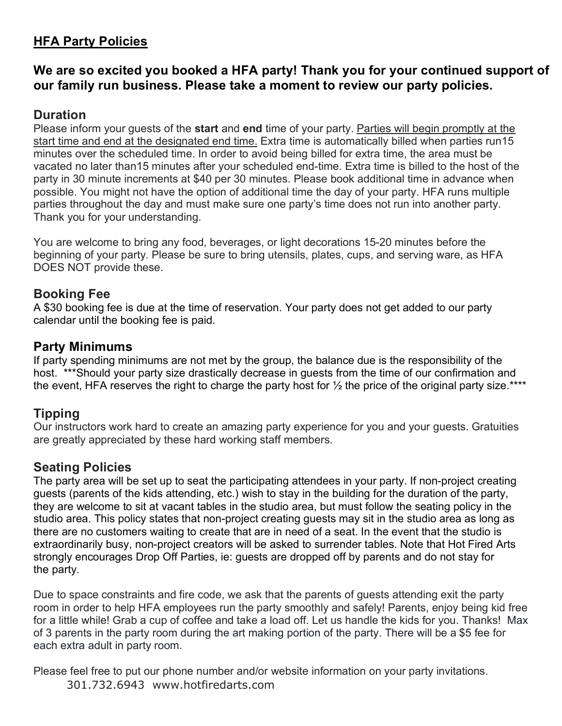# **HFA Party Policies**

## **We are so excited you booked a HFA party! Thank you for your continued support of our family run business. Please take a moment to review our party policies.**

## **Duration**

Please inform your guests of the **start** and **end** time of your party. Parties will begin promptly at the start time and end at the designated end time. Extra time is automatically billed when parties run15 minutes over the scheduled time. In order to avoid being billed for extra time, the area must be vacated no later than15 minutes after your scheduled end-time. Extra time is billed to the host of the party in 30 minute increments at \$40 per 30 minutes. Please book additional time in advance when possible. You might not have the option of additional time the day of your party. HFA runs multiple parties throughout the day and must make sure one party's time does not run into another party. Thank you for your understanding.

You are welcome to bring any food, beverages, or light decorations 15-20 minutes before the beginning of your party. Please be sure to bring utensils, plates, cups, and serving ware, as HFA DOES NOT provide these.

## **Booking Fee**

A \$30 booking fee is due at the time of reservation. Your party does not get added to our party calendar until the booking fee is paid.

#### **Party Minimums**

If party spending minimums are not met by the group, the balance due is the responsibility of the host. \*\*\*Should your party size drastically decrease in guests from the time of our confirmation and the event, HFA reserves the right to charge the party host for  $\frac{1}{2}$  the price of the original party size.\*\*\*\*

## **Tipping**

Our instructors work hard to create an amazing party experience for you and your guests. Gratuities are greatly appreciated by these hard working staff members.

## **Seating Policies**

The party area will be set up to seat the participating attendees in your party. If non-project creating guests (parents of the kids attending, etc.) wish to stay in the building for the duration of the party, they are welcome to sit at vacant tables in the studio area, but must follow the seating policy in the studio area. This policy states that non-project creating guests may sit in the studio area as long as there are no customers waiting to create that are in need of a seat. In the event that the studio is extraordinarily busy, non-project creators will be asked to surrender tables. Note that Hot Fired Arts strongly encourages Drop Off Parties, ie: guests are dropped off by parents and do not stay for the party.

Due to space constraints and fire code, we ask that the parents of guests attending exit the party room in order to help HFA employees run the party smoothly and safely! Parents, enjoy being kid free for a little while! Grab a cup of coffee and take a load off. Let us handle the kids for you. Thanks! Max of 3 parents in the party room during the art making portion of the party. There will be a \$5 fee for each extra adult in party room.

Please feel free to put our phone number and/or website information on your party invitations. 301.732.6943 www.hotfiredarts.com